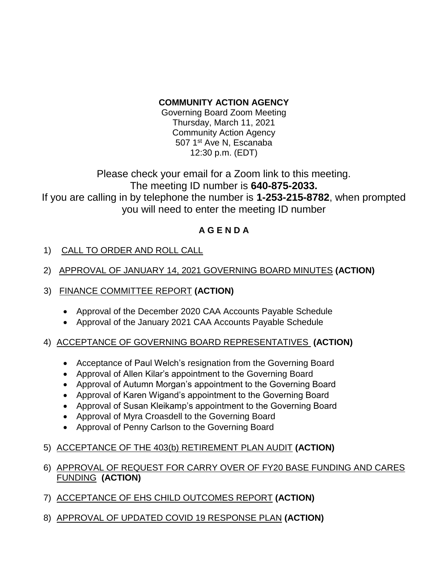## **COMMUNITY ACTION AGENCY**

Governing Board Zoom Meeting Thursday, March 11, 2021 Community Action Agency 507 1<sup>st</sup> Ave N, Escanaba 12:30 p.m. (EDT)

Please check your email for a Zoom link to this meeting. The meeting ID number is **640-875-2033.** If you are calling in by telephone the number is **1-253-215-8782**, when prompted you will need to enter the meeting ID number

## **A G E N D A**

- 1) CALL TO ORDER AND ROLL CALL
- 2) APPROVAL OF JANUARY 14, 2021 GOVERNING BOARD MINUTES **(ACTION)**
- 3) FINANCE COMMITTEE REPORT **(ACTION)**
	- Approval of the December 2020 CAA Accounts Payable Schedule
	- Approval of the January 2021 CAA Accounts Payable Schedule

## 4) ACCEPTANCE OF GOVERNING BOARD REPRESENTATIVES **(ACTION)**

- Acceptance of Paul Welch's resignation from the Governing Board
- Approval of Allen Kilar's appointment to the Governing Board
- Approval of Autumn Morgan's appointment to the Governing Board
- Approval of Karen Wigand's appointment to the Governing Board
- Approval of Susan Kleikamp's appointment to the Governing Board
- Approval of Myra Croasdell to the Governing Board
- Approval of Penny Carlson to the Governing Board
- 5) ACCEPTANCE OF THE 403(b) RETIREMENT PLAN AUDIT **(ACTION)**
- 6) APPROVAL OF REQUEST FOR CARRY OVER OF FY20 BASE FUNDING AND CARES FUNDING **(ACTION)**
- 7) ACCEPTANCE OF EHS CHILD OUTCOMES REPORT **(ACTION)**
- 8) APPROVAL OF UPDATED COVID 19 RESPONSE PLAN **(ACTION)**